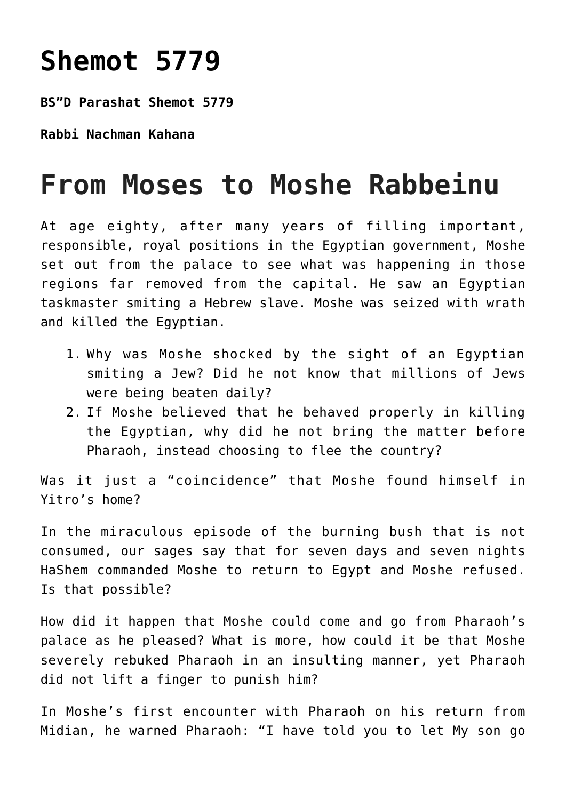## **[Shemot 5779](https://nachmankahana.com/shemot-5779/)**

**BS"D Parashat Shemot 5779**

**Rabbi Nachman Kahana**

## **From Moses to Moshe Rabbeinu**

At age eighty, after many years of filling important, responsible, royal positions in the Egyptian government, Moshe set out from the palace to see what was happening in those regions far removed from the capital. He saw an Egyptian taskmaster smiting a Hebrew slave. Moshe was seized with wrath and killed the Egyptian.

- 1. Why was Moshe shocked by the sight of an Egyptian smiting a Jew? Did he not know that millions of Jews were being beaten daily?
- 2. If Moshe believed that he behaved properly in killing the Egyptian, why did he not bring the matter before Pharaoh, instead choosing to flee the country?

Was it just a "coincidence" that Moshe found himself in Yitro's home?

In the miraculous episode of the burning bush that is not consumed, our sages say that for seven days and seven nights HaShem commanded Moshe to return to Egypt and Moshe refused. Is that possible?

How did it happen that Moshe could come and go from Pharaoh's palace as he pleased? What is more, how could it be that Moshe severely rebuked Pharaoh in an insulting manner, yet Pharaoh did not lift a finger to punish him?

In Moshe's first encounter with Pharaoh on his return from Midian, he warned Pharaoh: "I have told you to let My son go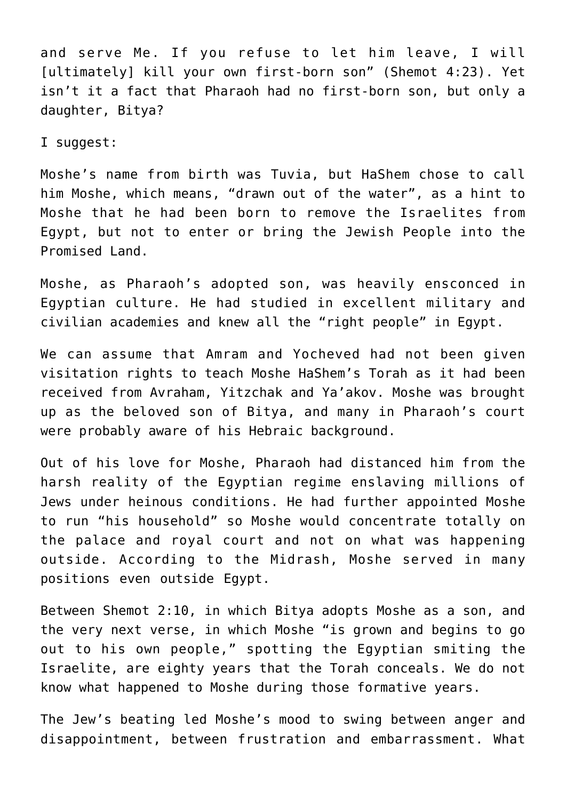and serve Me. If you refuse to let him leave, I will [ultimately] kill your own first-born son" (Shemot 4:23). Yet isn't it a fact that Pharaoh had no first-born son, but only a daughter, Bitya?

I suggest:

Moshe's name from birth was Tuvia, but HaShem chose to call him Moshe, which means, "drawn out of the water", as a hint to Moshe that he had been born to remove the Israelites from Egypt, but not to enter or bring the Jewish People into the Promised Land.

Moshe, as Pharaoh's adopted son, was heavily ensconced in Egyptian culture. He had studied in excellent military and civilian academies and knew all the "right people" in Egypt.

We can assume that Amram and Yocheved had not been given visitation rights to teach Moshe HaShem's Torah as it had been received from Avraham, Yitzchak and Ya'akov. Moshe was brought up as the beloved son of Bitya, and many in Pharaoh's court were probably aware of his Hebraic background.

Out of his love for Moshe, Pharaoh had distanced him from the harsh reality of the Egyptian regime enslaving millions of Jews under heinous conditions. He had further appointed Moshe to run "his household" so Moshe would concentrate totally on the palace and royal court and not on what was happening outside. According to the Midrash, Moshe served in many positions even outside Egypt.

Between Shemot 2:10, in which Bitya adopts Moshe as a son, and the very next verse, in which Moshe "is grown and begins to go out to his own people," spotting the Egyptian smiting the Israelite, are eighty years that the Torah conceals. We do not know what happened to Moshe during those formative years.

The Jew's beating led Moshe's mood to swing between anger and disappointment, between frustration and embarrassment. What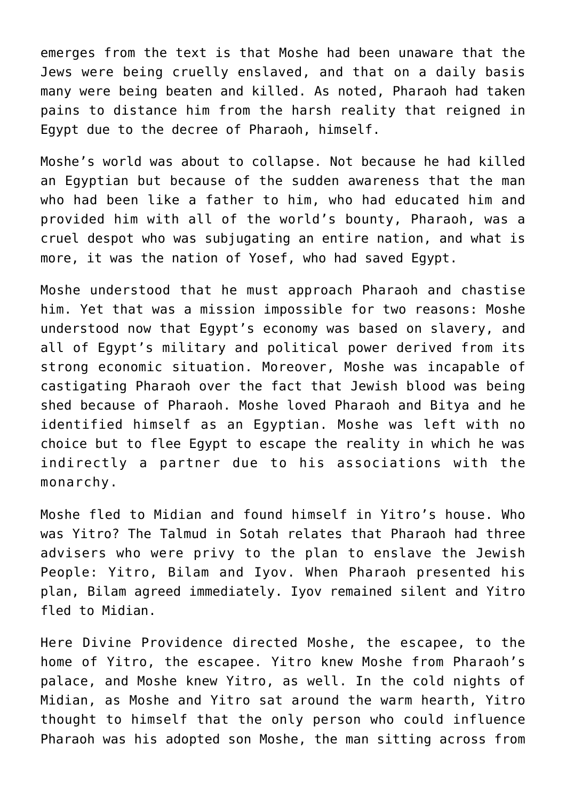emerges from the text is that Moshe had been unaware that the Jews were being cruelly enslaved, and that on a daily basis many were being beaten and killed. As noted, Pharaoh had taken pains to distance him from the harsh reality that reigned in Egypt due to the decree of Pharaoh, himself.

Moshe's world was about to collapse. Not because he had killed an Egyptian but because of the sudden awareness that the man who had been like a father to him, who had educated him and provided him with all of the world's bounty, Pharaoh, was a cruel despot who was subjugating an entire nation, and what is more, it was the nation of Yosef, who had saved Egypt.

Moshe understood that he must approach Pharaoh and chastise him. Yet that was a mission impossible for two reasons: Moshe understood now that Egypt's economy was based on slavery, and all of Egypt's military and political power derived from its strong economic situation. Moreover, Moshe was incapable of castigating Pharaoh over the fact that Jewish blood was being shed because of Pharaoh. Moshe loved Pharaoh and Bitya and he identified himself as an Egyptian. Moshe was left with no choice but to flee Egypt to escape the reality in which he was indirectly a partner due to his associations with the monarchy.

Moshe fled to Midian and found himself in Yitro's house. Who was Yitro? The Talmud in Sotah relates that Pharaoh had three advisers who were privy to the plan to enslave the Jewish People: Yitro, Bilam and Iyov. When Pharaoh presented his plan, Bilam agreed immediately. Iyov remained silent and Yitro fled to Midian.

Here Divine Providence directed Moshe, the escapee, to the home of Yitro, the escapee. Yitro knew Moshe from Pharaoh's palace, and Moshe knew Yitro, as well. In the cold nights of Midian, as Moshe and Yitro sat around the warm hearth, Yitro thought to himself that the only person who could influence Pharaoh was his adopted son Moshe, the man sitting across from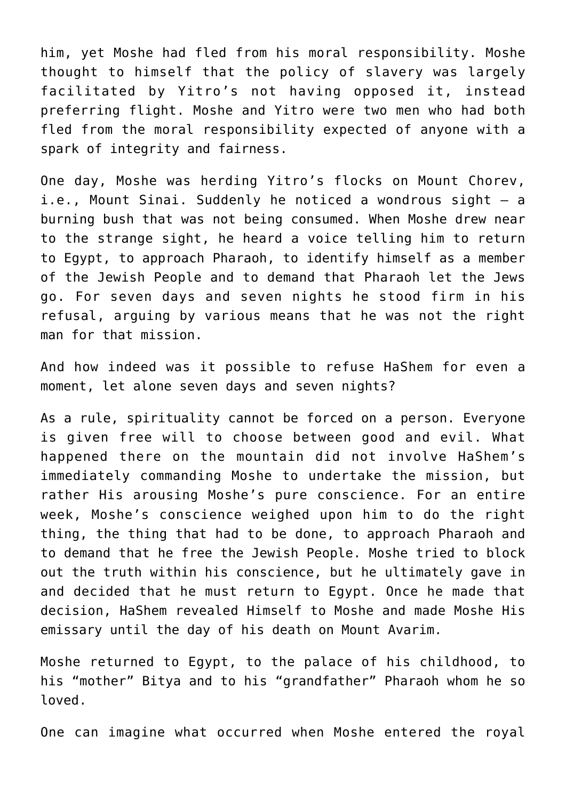him, yet Moshe had fled from his moral responsibility. Moshe thought to himself that the policy of slavery was largely facilitated by Yitro's not having opposed it, instead preferring flight. Moshe and Yitro were two men who had both fled from the moral responsibility expected of anyone with a spark of integrity and fairness.

One day, Moshe was herding Yitro's flocks on Mount Chorev, i.e., Mount Sinai. Suddenly he noticed a wondrous sight – a burning bush that was not being consumed. When Moshe drew near to the strange sight, he heard a voice telling him to return to Egypt, to approach Pharaoh, to identify himself as a member of the Jewish People and to demand that Pharaoh let the Jews go. For seven days and seven nights he stood firm in his refusal, arguing by various means that he was not the right man for that mission.

And how indeed was it possible to refuse HaShem for even a moment, let alone seven days and seven nights?

As a rule, spirituality cannot be forced on a person. Everyone is given free will to choose between good and evil. What happened there on the mountain did not involve HaShem's immediately commanding Moshe to undertake the mission, but rather His arousing Moshe's pure conscience. For an entire week, Moshe's conscience weighed upon him to do the right thing, the thing that had to be done, to approach Pharaoh and to demand that he free the Jewish People. Moshe tried to block out the truth within his conscience, but he ultimately gave in and decided that he must return to Egypt. Once he made that decision, HaShem revealed Himself to Moshe and made Moshe His emissary until the day of his death on Mount Avarim.

Moshe returned to Egypt, to the palace of his childhood, to his "mother" Bitya and to his "grandfather" Pharaoh whom he so loved.

One can imagine what occurred when Moshe entered the royal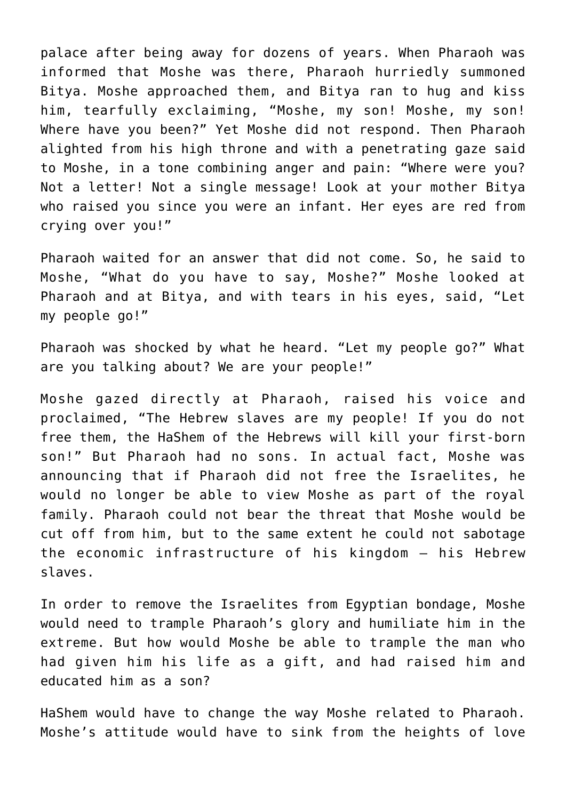palace after being away for dozens of years. When Pharaoh was informed that Moshe was there, Pharaoh hurriedly summoned Bitya. Moshe approached them, and Bitya ran to hug and kiss him, tearfully exclaiming, "Moshe, my son! Moshe, my son! Where have you been?" Yet Moshe did not respond. Then Pharaoh alighted from his high throne and with a penetrating gaze said to Moshe, in a tone combining anger and pain: "Where were you? Not a letter! Not a single message! Look at your mother Bitya who raised you since you were an infant. Her eyes are red from crying over you!"

Pharaoh waited for an answer that did not come. So, he said to Moshe, "What do you have to say, Moshe?" Moshe looked at Pharaoh and at Bitya, and with tears in his eyes, said, "Let my people go!"

Pharaoh was shocked by what he heard. "Let my people go?" What are you talking about? We are your people!"

Moshe gazed directly at Pharaoh, raised his voice and proclaimed, "The Hebrew slaves are my people! If you do not free them, the HaShem of the Hebrews will kill your first-born son!" But Pharaoh had no sons. In actual fact, Moshe was announcing that if Pharaoh did not free the Israelites, he would no longer be able to view Moshe as part of the royal family. Pharaoh could not bear the threat that Moshe would be cut off from him, but to the same extent he could not sabotage the economic infrastructure of his kingdom – his Hebrew slaves.

In order to remove the Israelites from Egyptian bondage, Moshe would need to trample Pharaoh's glory and humiliate him in the extreme. But how would Moshe be able to trample the man who had given him his life as a gift, and had raised him and educated him as a son?

HaShem would have to change the way Moshe related to Pharaoh. Moshe's attitude would have to sink from the heights of love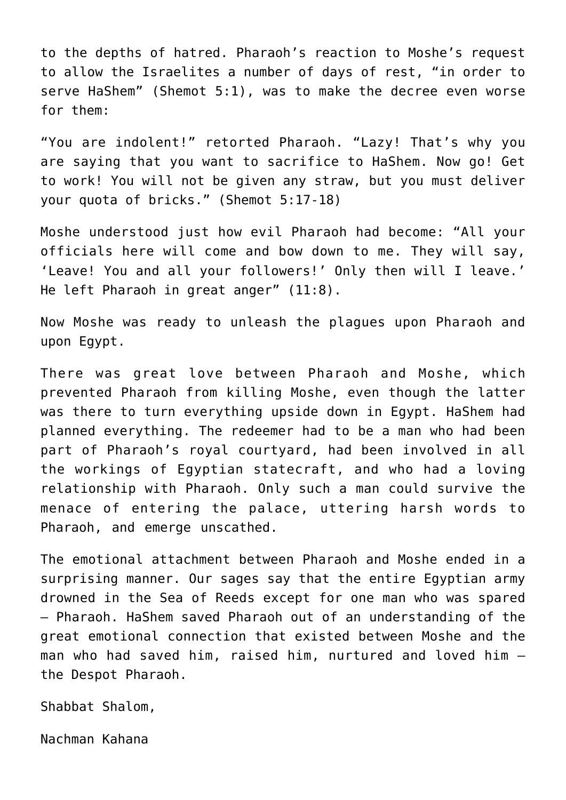to the depths of hatred. Pharaoh's reaction to Moshe's request to allow the Israelites a number of days of rest, "in order to serve HaShem" (Shemot 5:1), was to make the decree even worse for them:

"You are indolent!" retorted Pharaoh. "Lazy! That's why you are saying that you want to sacrifice to HaShem. Now go! Get to work! You will not be given any straw, but you must deliver your quota of bricks." (Shemot 5:17-18)

Moshe understood just how evil Pharaoh had become: "All your officials here will come and bow down to me. They will say, 'Leave! You and all your followers!' Only then will I leave.' He left Pharaoh in great anger" (11:8).

Now Moshe was ready to unleash the plagues upon Pharaoh and upon Egypt.

There was great love between Pharaoh and Moshe, which prevented Pharaoh from killing Moshe, even though the latter was there to turn everything upside down in Egypt. HaShem had planned everything. The redeemer had to be a man who had been part of Pharaoh's royal courtyard, had been involved in all the workings of Egyptian statecraft, and who had a loving relationship with Pharaoh. Only such a man could survive the menace of entering the palace, uttering harsh words to Pharaoh, and emerge unscathed.

The emotional attachment between Pharaoh and Moshe ended in a surprising manner. Our sages say that the entire Egyptian army drowned in the Sea of Reeds except for one man who was spared – Pharaoh. HaShem saved Pharaoh out of an understanding of the great emotional connection that existed between Moshe and the man who had saved him, raised him, nurtured and loved him – the Despot Pharaoh.

Shabbat Shalom,

Nachman Kahana